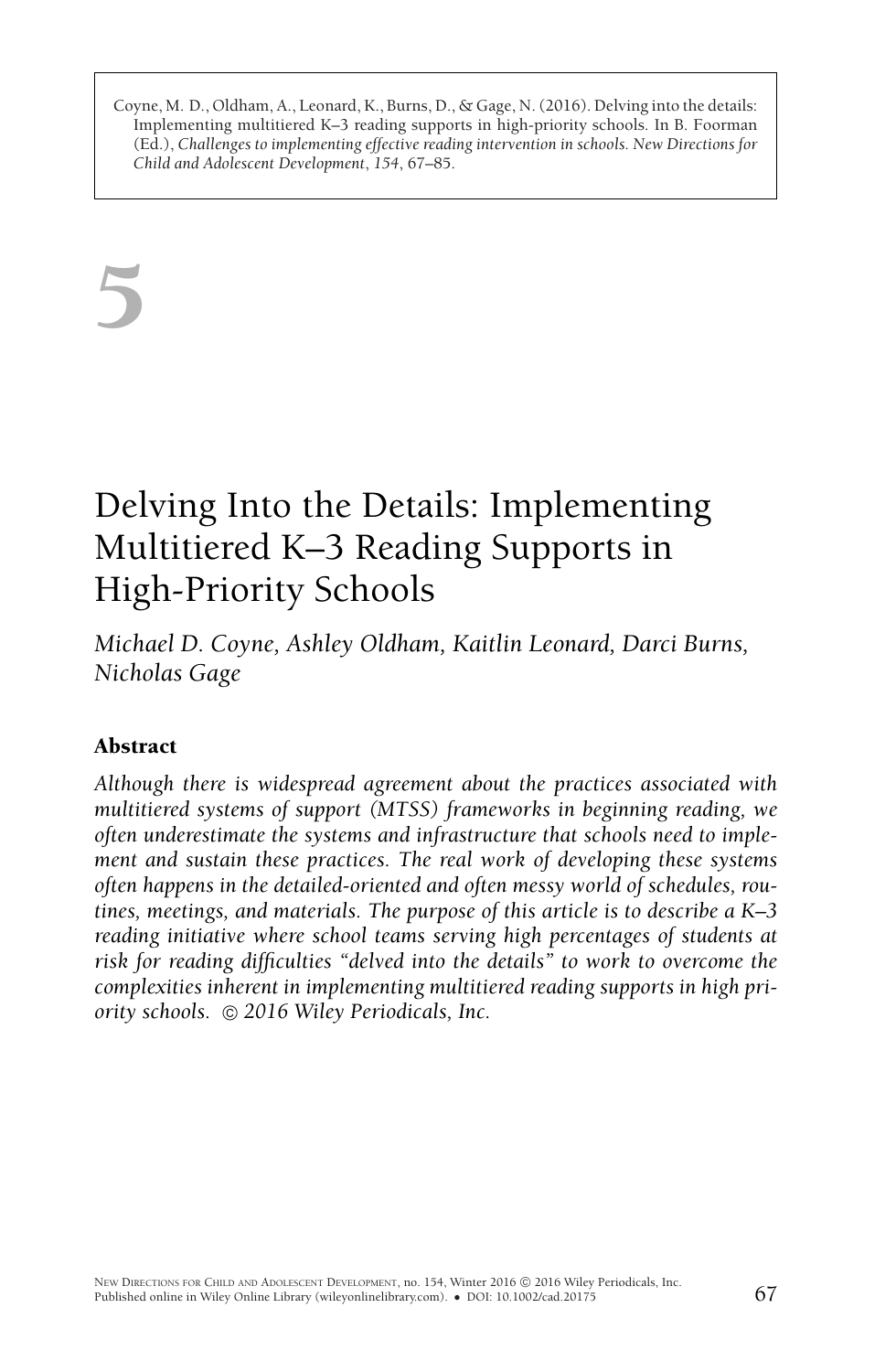Coyne, M. D., Oldham, A., Leonard, K., Burns, D., & Gage, N. (2016). Delving into the details: Implementing multitiered K–3 reading supports in high-priority schools. In B. Foorman (Ed.), *Challenges to implementing effective reading intervention in schools. New Directions for Child and Adolescent Development*, *154*, 67–85.

5

# Delving Into the Details: Implementing Multitiered K–3 Reading Supports in High-Priority Schools

*Michael D. Coyne, Ashley Oldham, Kaitlin Leonard, Darci Burns, Nicholas Gage*

# Abstract

*Although there is widespread agreement about the practices associated with multitiered systems of support (MTSS) frameworks in beginning reading, we often underestimate the systems and infrastructure that schools need to implement and sustain these practices. The real work of developing these systems often happens in the detailed-oriented and often messy world of schedules, routines, meetings, and materials. The purpose of this article is to describe a K–3 reading initiative where school teams serving high percentages of students at risk for reading diffculties "delved into the details" to work to overcome the complexities inherent in implementing multitiered reading supports in high priority schools.* © *2016 Wiley Periodicals, Inc.*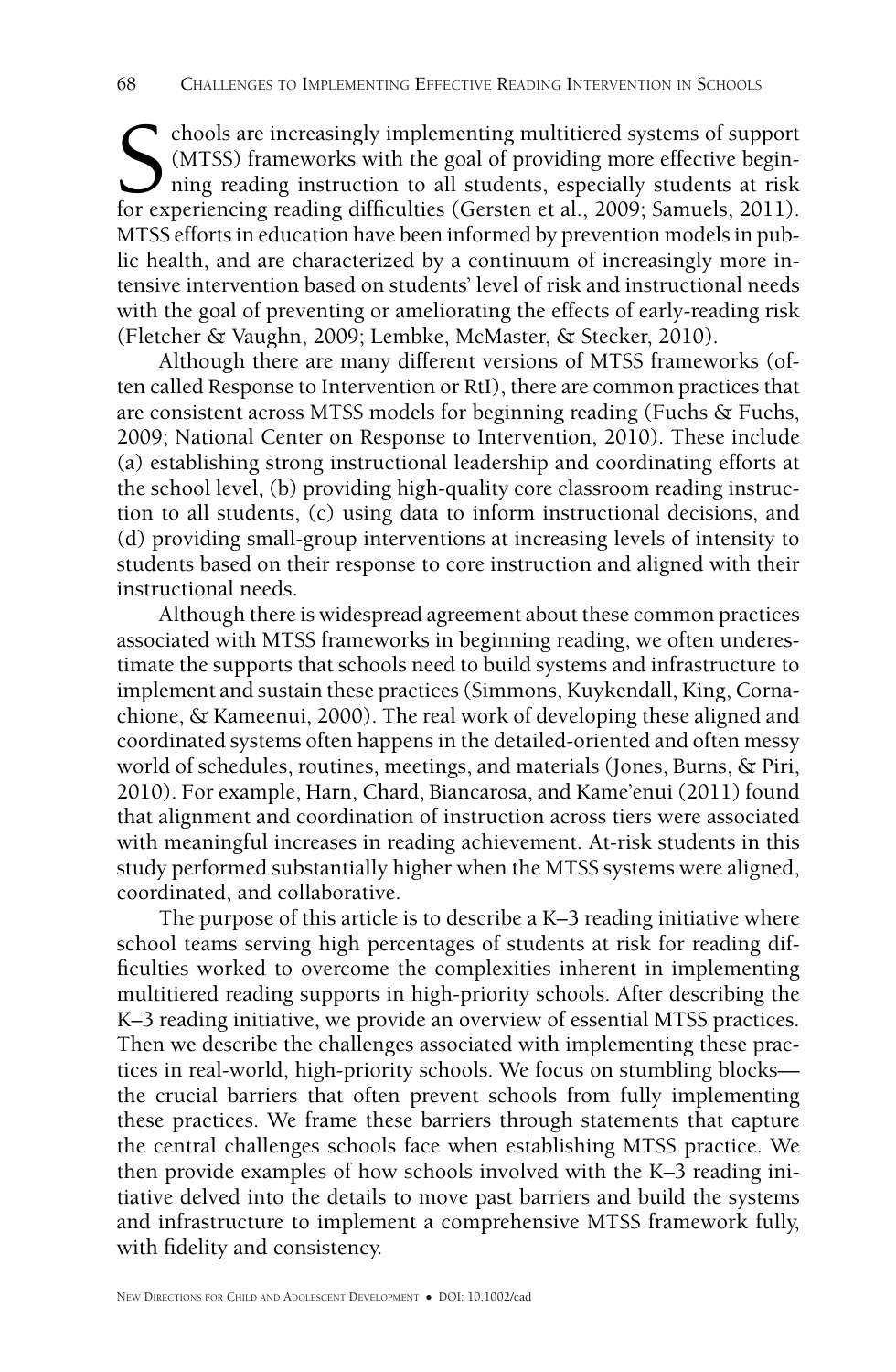Schools are increasingly implementing multitiered systems of support (MTSS) frameworks with the goal of providing more effective begining reading instruction to all students, especially students at risk for experiencing re (MTSS) frameworks with the goal of providing more effective beginning reading instruction to all students, especially students at risk for experiencing reading diffculties (Gersten et al., 2009; Samuels, 2011). MTSS efforts in education have been informed by prevention models in public health, and are characterized by a continuum of increasingly more intensive intervention based on students' level of risk and instructional needs with the goal of preventing or ameliorating the effects of early-reading risk (Fletcher & Vaughn, 2009; Lembke, McMaster, & Stecker, 2010).

Although there are many different versions of MTSS frameworks (often called Response to Intervention or RtI), there are common practices that are consistent across MTSS models for beginning reading (Fuchs & Fuchs, 2009; National Center on Response to Intervention, 2010). These include (a) establishing strong instructional leadership and coordinating efforts at the school level, (b) providing high-quality core classroom reading instruction to all students, (c) using data to inform instructional decisions, and (d) providing small-group interventions at increasing levels of intensity to students based on their response to core instruction and aligned with their instructional needs.

Although there is widespread agreement about these common practices associated with MTSS frameworks in beginning reading, we often underestimate the supports that schools need to build systems and infrastructure to implement and sustain these practices (Simmons, Kuykendall, King, Cornachione, & Kameenui, 2000). The real work of developing these aligned and coordinated systems often happens in the detailed-oriented and often messy world of schedules, routines, meetings, and materials (Jones, Burns, & Piri, 2010). For example, Harn, Chard, Biancarosa, and Kame'enui (2011) found that alignment and coordination of instruction across tiers were associated with meaningful increases in reading achievement. At-risk students in this study performed substantially higher when the MTSS systems were aligned, coordinated, and collaborative.

The purpose of this article is to describe a K–3 reading initiative where school teams serving high percentages of students at risk for reading diffculties worked to overcome the complexities inherent in implementing multitiered reading supports in high-priority schools. After describing the K–3 reading initiative, we provide an overview of essential MTSS practices. Then we describe the challenges associated with implementing these practices in real-world, high-priority schools. We focus on stumbling blocks the crucial barriers that often prevent schools from fully implementing these practices. We frame these barriers through statements that capture the central challenges schools face when establishing MTSS practice. We then provide examples of how schools involved with the K–3 reading initiative delved into the details to move past barriers and build the systems and infrastructure to implement a comprehensive MTSS framework fully, with fdelity and consistency.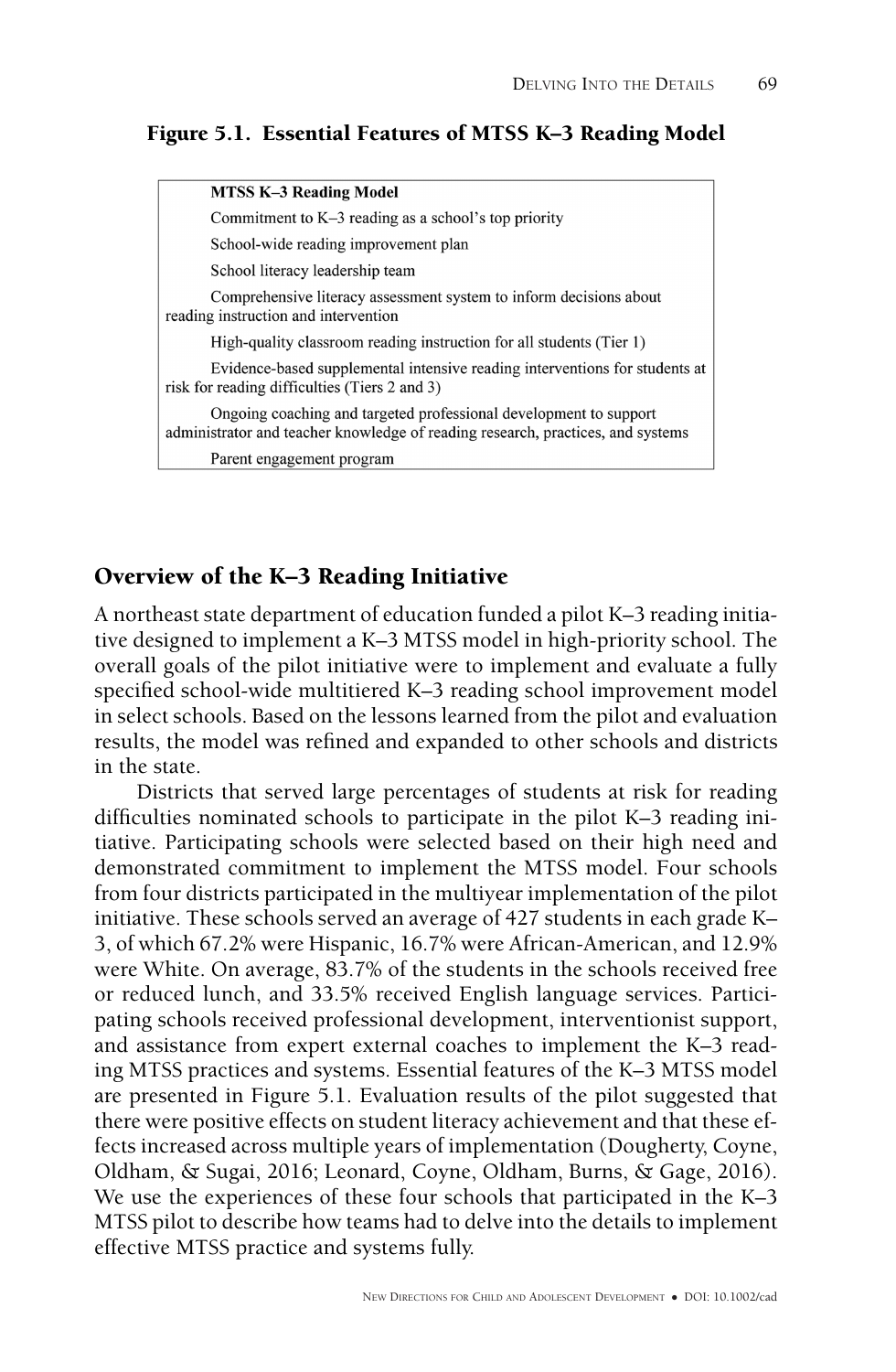#### Figure 5.1. Essential Features of MTSS K–3 Reading Model

<span id="page-2-0"></span>

| <b>MTSS K-3 Reading Model</b>                                                                                                                        |
|------------------------------------------------------------------------------------------------------------------------------------------------------|
| Commitment to $K-3$ reading as a school's top priority                                                                                               |
| School-wide reading improvement plan                                                                                                                 |
| School literacy leadership team                                                                                                                      |
| Comprehensive literacy assessment system to inform decisions about<br>reading instruction and intervention                                           |
| High-quality classroom reading instruction for all students (Tier 1)                                                                                 |
| Evidence-based supplemental intensive reading interventions for students at<br>risk for reading difficulties (Tiers 2 and 3)                         |
| Ongoing coaching and targeted professional development to support<br>administrator and teacher knowledge of reading research, practices, and systems |
| Parent engagement program                                                                                                                            |

## Overview of the K–3 Reading Initiative

A northeast state department of education funded a pilot K–3 reading initiative designed to implement a K–3 MTSS model in high-priority school. The overall goals of the pilot initiative were to implement and evaluate a fully specifed school-wide multitiered K–3 reading school improvement model in select schools. Based on the lessons learned from the pilot and evaluation results, the model was refned and expanded to other schools and districts in the state.

Districts that served large percentages of students at risk for reading diffculties nominated schools to participate in the pilot K–3 reading initiative. Participating schools were selected based on their high need and demonstrated commitment to implement the MTSS model. Four schools from four districts participated in the multiyear implementation of the pilot initiative. These schools served an average of 427 students in each grade K– 3, of which 67.2% were Hispanic, 16.7% were African-American, and 12.9% were White. On average, 83.7% of the students in the schools received free or reduced lunch, and 33.5% received English language services. Participating schools received professional development, interventionist support, and assistance from expert external coaches to implement the K–3 reading MTSS practices and systems. Essential features of the K–3 MTSS model are presented in Figure [5.1.](#page-2-0) Evaluation results of the pilot suggested that there were positive effects on student literacy achievement and that these effects increased across multiple years of implementation (Dougherty, Coyne, Oldham, & Sugai, 2016; Leonard, Coyne, Oldham, Burns, & Gage, 2016). We use the experiences of these four schools that participated in the K–3 MTSS pilot to describe how teams had to delve into the details to implement effective MTSS practice and systems fully.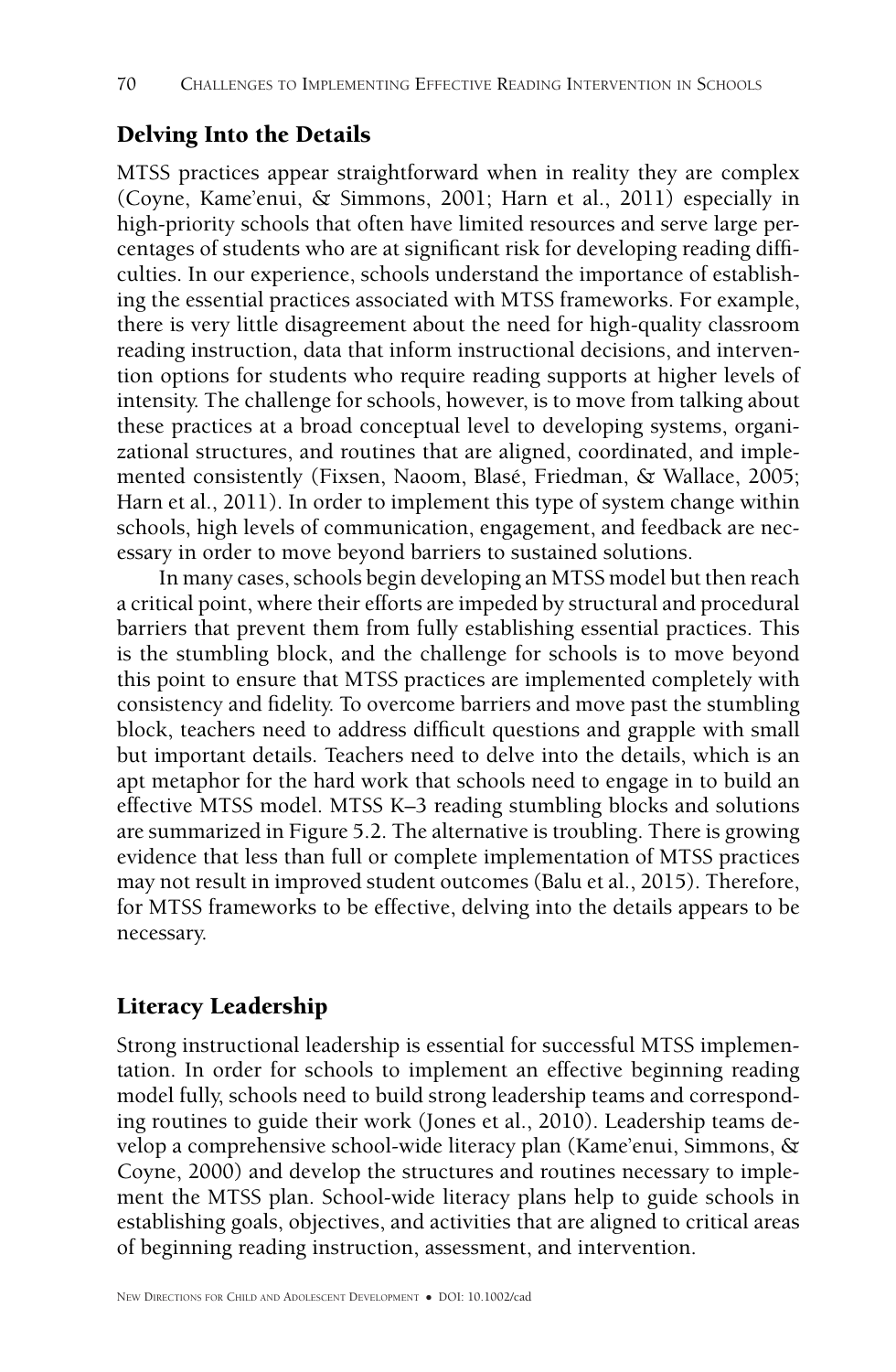# Delving Into the Details

MTSS practices appear straightforward when in reality they are complex (Coyne, Kame'enui, & Simmons, 2001; Harn et al., 2011) especially in high-priority schools that often have limited resources and serve large percentages of students who are at signifcant risk for developing reading diffculties. In our experience, schools understand the importance of establishing the essential practices associated with MTSS frameworks. For example, there is very little disagreement about the need for high-quality classroom reading instruction, data that inform instructional decisions, and intervention options for students who require reading supports at higher levels of intensity. The challenge for schools, however, is to move from talking about these practices at a broad conceptual level to developing systems, organizational structures, and routines that are aligned, coordinated, and implemented consistently (Fixsen, Naoom, Blase, Friedman, & Wallace, 2005; ´ Harn et al., 2011). In order to implement this type of system change within schools, high levels of communication, engagement, and feedback are necessary in order to move beyond barriers to sustained solutions.

In many cases, schools begin developing an MTSS model but then reach a critical point, where their efforts are impeded by structural and procedural barriers that prevent them from fully establishing essential practices. This is the stumbling block, and the challenge for schools is to move beyond this point to ensure that MTSS practices are implemented completely with consistency and fdelity. To overcome barriers and move past the stumbling block, teachers need to address diffcult questions and grapple with small but important details. Teachers need to delve into the details, which is an apt metaphor for the hard work that schools need to engage in to build an effective MTSS model. MTSS K–3 reading stumbling blocks and solutions are summarized in Figure [5.2.](#page-4-0) The alternative is troubling. There is growing evidence that less than full or complete implementation of MTSS practices may not result in improved student outcomes (Balu et al., 2015). Therefore, for MTSS frameworks to be effective, delving into the details appears to be necessary.

# Literacy Leadership

Strong instructional leadership is essential for successful MTSS implementation. In order for schools to implement an effective beginning reading model fully, schools need to build strong leadership teams and corresponding routines to guide their work (Jones et al., 2010). Leadership teams develop a comprehensive school-wide literacy plan (Kame'enui, Simmons, & Coyne, 2000) and develop the structures and routines necessary to implement the MTSS plan. School-wide literacy plans help to guide schools in establishing goals, objectives, and activities that are aligned to critical areas of beginning reading instruction, assessment, and intervention.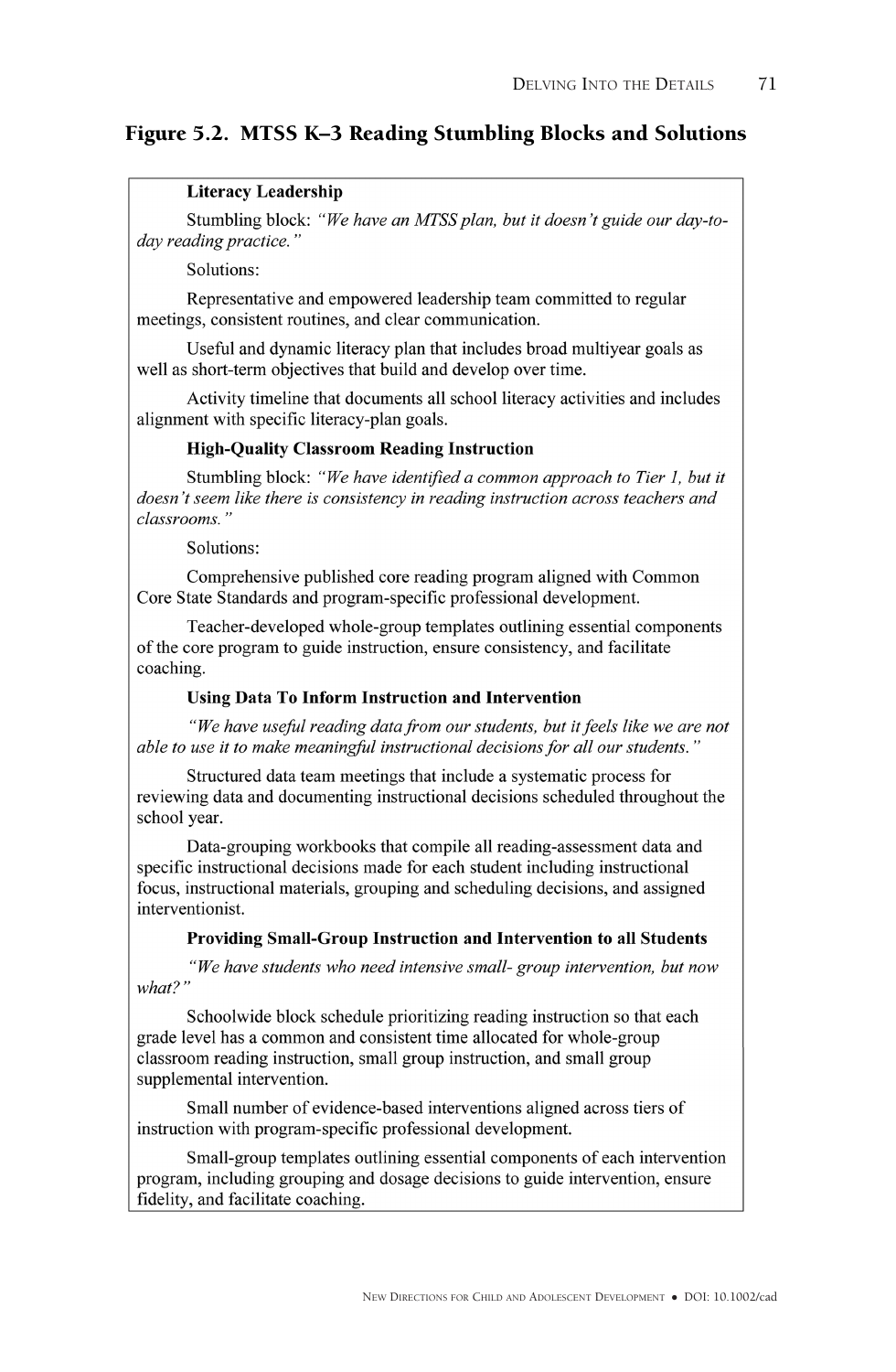### Figure 5.2. MTSS K–3 Reading Stumbling Blocks and Solutions

#### <span id="page-4-0"></span>**Literacy Leadership**

Stumbling block: "We have an MTSS plan, but it doesn't guide our day-today reading practice."

Solutions:

Representative and empowered leadership team committed to regular meetings, consistent routines, and clear communication.

Useful and dynamic literacy plan that includes broad multiyear goals as well as short-term objectives that build and develop over time.

Activity timeline that documents all school literacy activities and includes alignment with specific literacy-plan goals.

#### **High-Quality Classroom Reading Instruction**

Stumbling block: "We have identified a common approach to Tier 1, but it doesn't seem like there is consistency in reading instruction across teachers and classrooms"

Solutions:

Comprehensive published core reading program aligned with Common Core State Standards and program-specific professional development.

Teacher-developed whole-group templates outlining essential components of the core program to guide instruction, ensure consistency, and facilitate coaching.

#### **Using Data To Inform Instruction and Intervention**

"We have useful reading data from our students, but it feels like we are not able to use it to make meaningful instructional decisions for all our students."

Structured data team meetings that include a systematic process for reviewing data and documenting instructional decisions scheduled throughout the school year.

Data-grouping workbooks that compile all reading-assessment data and specific instructional decisions made for each student including instructional focus, instructional materials, grouping and scheduling decisions, and assigned interventionist.

#### Providing Small-Group Instruction and Intervention to all Students

"We have students who need intensive small- group intervention, but now  $what?$ "

Schoolwide block schedule prioritizing reading instruction so that each grade level has a common and consistent time allocated for whole-group classroom reading instruction, small group instruction, and small group supplemental intervention.

Small number of evidence-based interventions aligned across tiers of instruction with program-specific professional development.

Small-group templates outlining essential components of each intervention program, including grouping and dosage decisions to guide intervention, ensure fidelity, and facilitate coaching.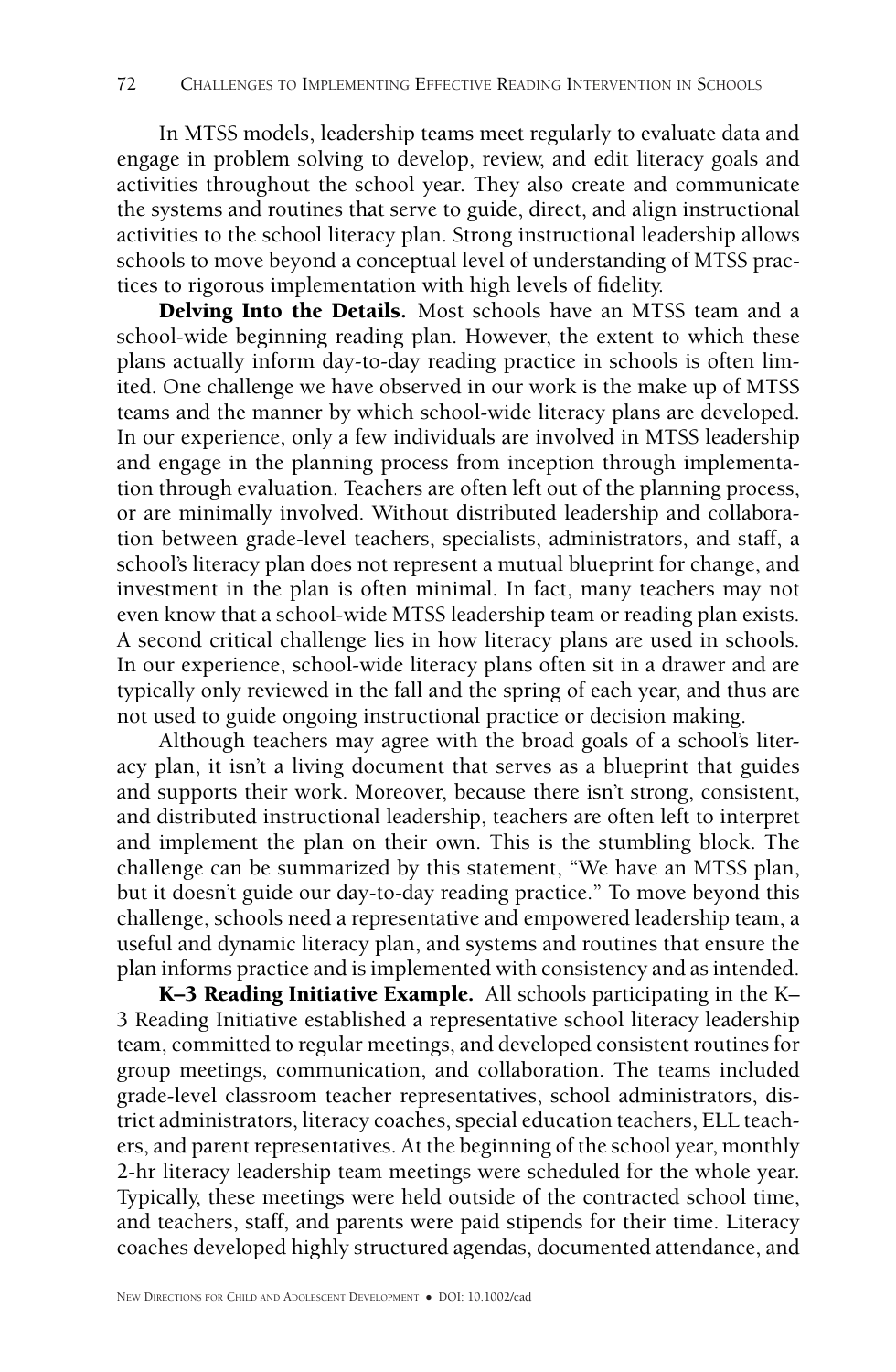In MTSS models, leadership teams meet regularly to evaluate data and engage in problem solving to develop, review, and edit literacy goals and activities throughout the school year. They also create and communicate the systems and routines that serve to guide, direct, and align instructional activities to the school literacy plan. Strong instructional leadership allows schools to move beyond a conceptual level of understanding of MTSS practices to rigorous implementation with high levels of fdelity.

Delving Into the Details. Most schools have an MTSS team and a school-wide beginning reading plan. However, the extent to which these plans actually inform day-to-day reading practice in schools is often limited. One challenge we have observed in our work is the make up of MTSS teams and the manner by which school-wide literacy plans are developed. In our experience, only a few individuals are involved in MTSS leadership and engage in the planning process from inception through implementation through evaluation. Teachers are often left out of the planning process, or are minimally involved. Without distributed leadership and collaboration between grade-level teachers, specialists, administrators, and staff, a school's literacy plan does not represent a mutual blueprint for change, and investment in the plan is often minimal. In fact, many teachers may not even know that a school-wide MTSS leadership team or reading plan exists. A second critical challenge lies in how literacy plans are used in schools. In our experience, school-wide literacy plans often sit in a drawer and are typically only reviewed in the fall and the spring of each year, and thus are not used to guide ongoing instructional practice or decision making.

Although teachers may agree with the broad goals of a school's literacy plan, it isn't a living document that serves as a blueprint that guides and supports their work. Moreover, because there isn't strong, consistent, and distributed instructional leadership, teachers are often left to interpret and implement the plan on their own. This is the stumbling block. The challenge can be summarized by this statement, "We have an MTSS plan, but it doesn't guide our day-to-day reading practice." To move beyond this challenge, schools need a representative and empowered leadership team, a useful and dynamic literacy plan, and systems and routines that ensure the plan informs practice and is implemented with consistency and as intended.

K-3 Reading Initiative Example. All schools participating in the K-3 Reading Initiative established a representative school literacy leadership team, committed to regular meetings, and developed consistent routines for group meetings, communication, and collaboration. The teams included grade-level classroom teacher representatives, school administrators, district administrators, literacy coaches, special education teachers, ELL teachers, and parent representatives. At the beginning of the school year, monthly 2-hr literacy leadership team meetings were scheduled for the whole year. Typically, these meetings were held outside of the contracted school time, and teachers, staff, and parents were paid stipends for their time. Literacy coaches developed highly structured agendas, documented attendance, and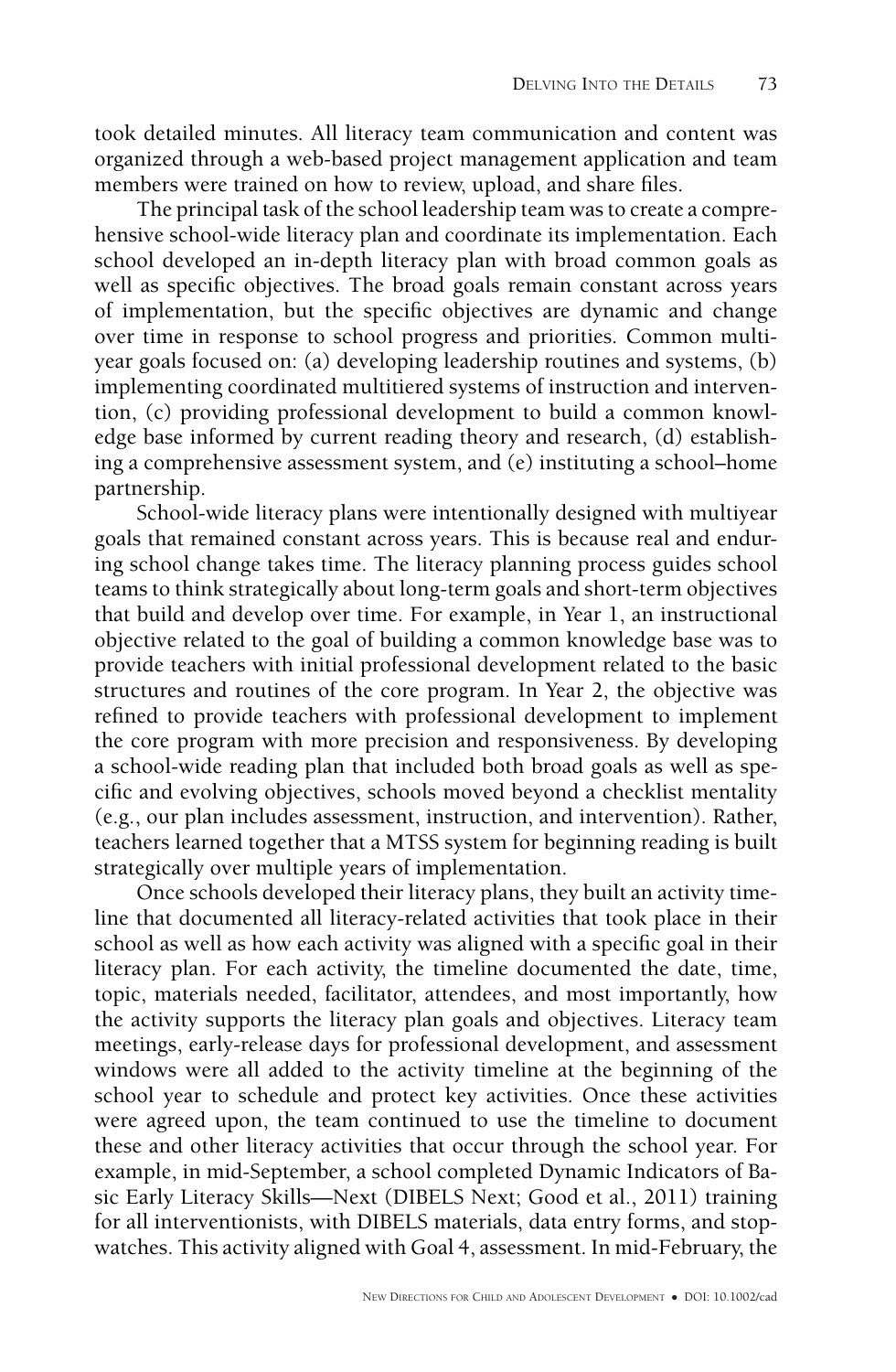took detailed minutes. All literacy team communication and content was organized through a web-based project management application and team members were trained on how to review, upload, and share fles.

The principal task of the school leadership team was to create a comprehensive school-wide literacy plan and coordinate its implementation. Each school developed an in-depth literacy plan with broad common goals as well as specifc objectives. The broad goals remain constant across years of implementation, but the specifc objectives are dynamic and change over time in response to school progress and priorities. Common multiyear goals focused on: (a) developing leadership routines and systems, (b) implementing coordinated multitiered systems of instruction and intervention, (c) providing professional development to build a common knowledge base informed by current reading theory and research, (d) establishing a comprehensive assessment system, and (e) instituting a school–home partnership.

School-wide literacy plans were intentionally designed with multiyear goals that remained constant across years. This is because real and enduring school change takes time. The literacy planning process guides school teams to think strategically about long-term goals and short-term objectives that build and develop over time. For example, in Year 1, an instructional objective related to the goal of building a common knowledge base was to provide teachers with initial professional development related to the basic structures and routines of the core program. In Year 2, the objective was refned to provide teachers with professional development to implement the core program with more precision and responsiveness. By developing a school-wide reading plan that included both broad goals as well as specifc and evolving objectives, schools moved beyond a checklist mentality (e.g., our plan includes assessment, instruction, and intervention). Rather, teachers learned together that a MTSS system for beginning reading is built strategically over multiple years of implementation.

Once schools developed their literacy plans, they built an activity timeline that documented all literacy-related activities that took place in their school as well as how each activity was aligned with a specifc goal in their literacy plan. For each activity, the timeline documented the date, time, topic, materials needed, facilitator, attendees, and most importantly, how the activity supports the literacy plan goals and objectives. Literacy team meetings, early-release days for professional development, and assessment windows were all added to the activity timeline at the beginning of the school year to schedule and protect key activities. Once these activities were agreed upon, the team continued to use the timeline to document these and other literacy activities that occur through the school year. For example, in mid-September, a school completed Dynamic Indicators of Basic Early Literacy Skills—Next (DIBELS Next; Good et al., 2011) training for all interventionists, with DIBELS materials, data entry forms, and stopwatches. This activity aligned with Goal 4, assessment. In mid-February, the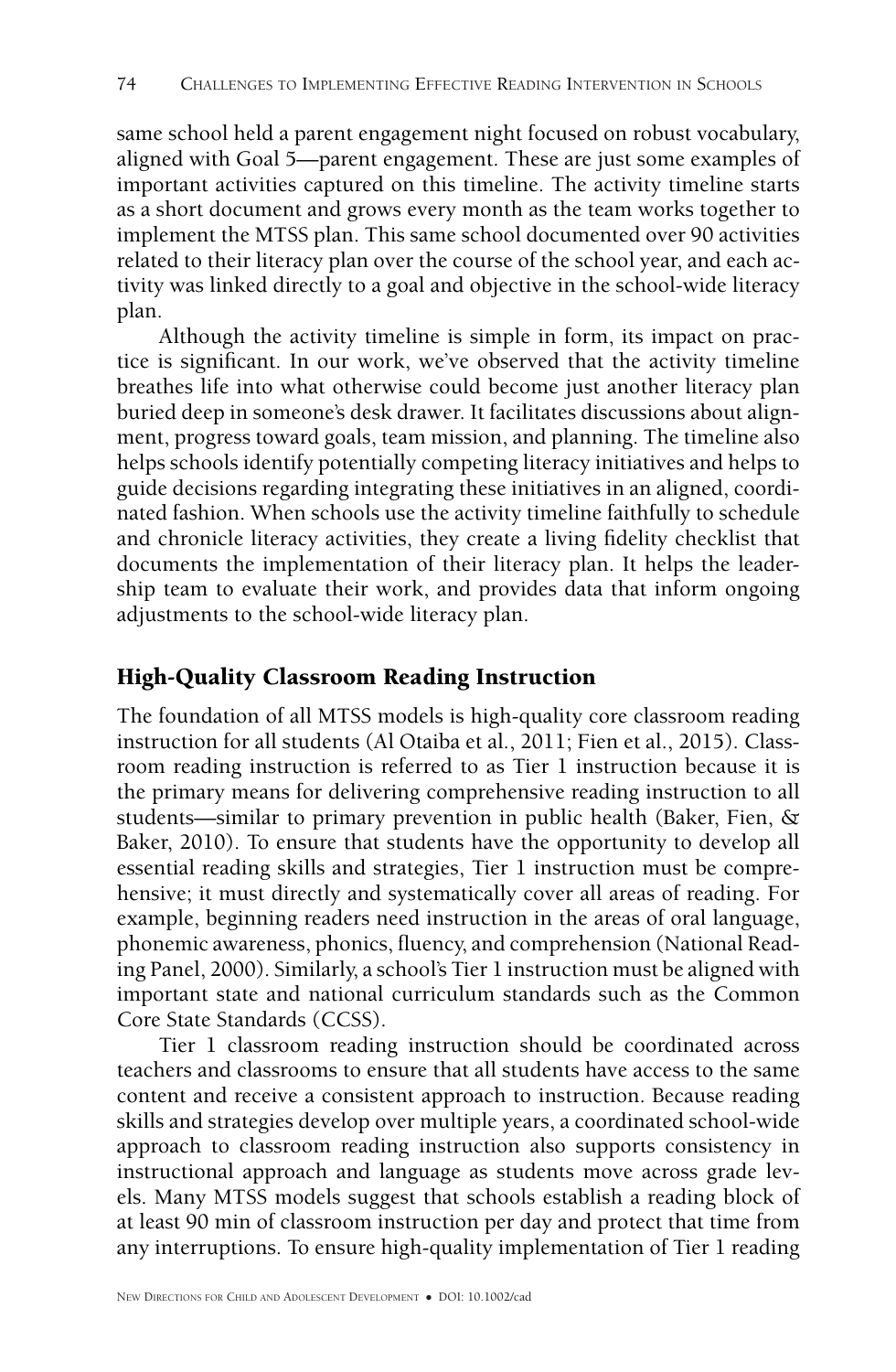same school held a parent engagement night focused on robust vocabulary, aligned with Goal 5—parent engagement. These are just some examples of important activities captured on this timeline. The activity timeline starts as a short document and grows every month as the team works together to implement the MTSS plan. This same school documented over 90 activities related to their literacy plan over the course of the school year, and each activity was linked directly to a goal and objective in the school-wide literacy plan.

Although the activity timeline is simple in form, its impact on practice is signifcant. In our work, we've observed that the activity timeline breathes life into what otherwise could become just another literacy plan buried deep in someone's desk drawer. It facilitates discussions about alignment, progress toward goals, team mission, and planning. The timeline also helps schools identify potentially competing literacy initiatives and helps to guide decisions regarding integrating these initiatives in an aligned, coordinated fashion. When schools use the activity timeline faithfully to schedule and chronicle literacy activities, they create a living fdelity checklist that documents the implementation of their literacy plan. It helps the leadership team to evaluate their work, and provides data that inform ongoing adjustments to the school-wide literacy plan.

## High-Quality Classroom Reading Instruction

The foundation of all MTSS models is high-quality core classroom reading instruction for all students (Al Otaiba et al., 2011; Fien et al., 2015). Classroom reading instruction is referred to as Tier 1 instruction because it is the primary means for delivering comprehensive reading instruction to all students—similar to primary prevention in public health (Baker, Fien, & Baker, 2010). To ensure that students have the opportunity to develop all essential reading skills and strategies, Tier 1 instruction must be comprehensive; it must directly and systematically cover all areas of reading. For example, beginning readers need instruction in the areas of oral language, phonemic awareness, phonics, fuency, and comprehension (National Reading Panel, 2000). Similarly, a school's Tier 1 instruction must be aligned with important state and national curriculum standards such as the Common Core State Standards (CCSS).

Tier 1 classroom reading instruction should be coordinated across teachers and classrooms to ensure that all students have access to the same content and receive a consistent approach to instruction. Because reading skills and strategies develop over multiple years, a coordinated school-wide approach to classroom reading instruction also supports consistency in instructional approach and language as students move across grade levels. Many MTSS models suggest that schools establish a reading block of at least 90 min of classroom instruction per day and protect that time from any interruptions. To ensure high-quality implementation of Tier 1 reading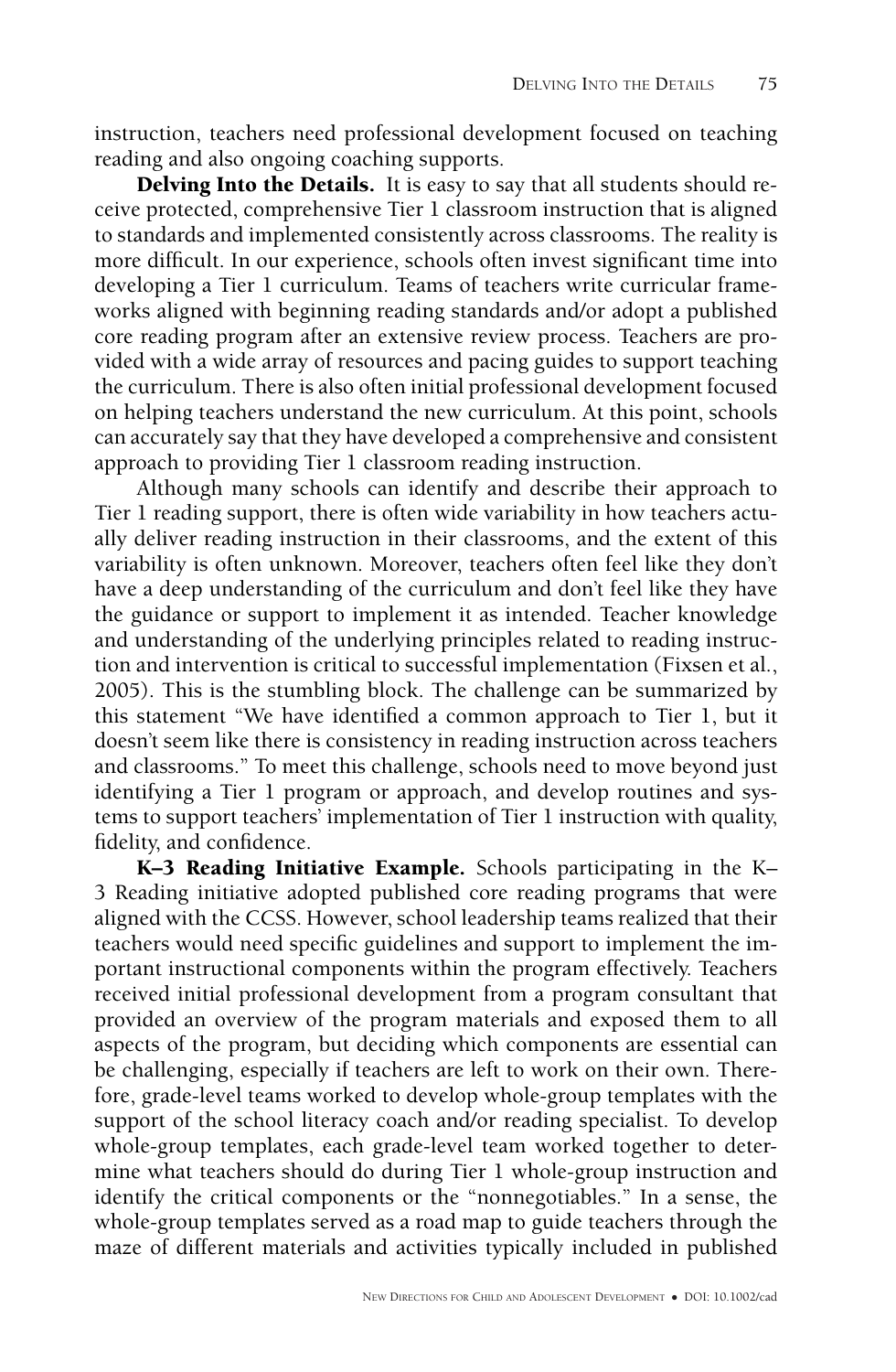instruction, teachers need professional development focused on teaching reading and also ongoing coaching supports.

Delving Into the Details. It is easy to say that all students should receive protected, comprehensive Tier 1 classroom instruction that is aligned to standards and implemented consistently across classrooms. The reality is more diffcult. In our experience, schools often invest signifcant time into developing a Tier 1 curriculum. Teams of teachers write curricular frameworks aligned with beginning reading standards and/or adopt a published core reading program after an extensive review process. Teachers are provided with a wide array of resources and pacing guides to support teaching the curriculum. There is also often initial professional development focused on helping teachers understand the new curriculum. At this point, schools can accurately say that they have developed a comprehensive and consistent approach to providing Tier 1 classroom reading instruction.

Although many schools can identify and describe their approach to Tier 1 reading support, there is often wide variability in how teachers actually deliver reading instruction in their classrooms, and the extent of this variability is often unknown. Moreover, teachers often feel like they don't have a deep understanding of the curriculum and don't feel like they have the guidance or support to implement it as intended. Teacher knowledge and understanding of the underlying principles related to reading instruction and intervention is critical to successful implementation (Fixsen et al., 2005). This is the stumbling block. The challenge can be summarized by this statement "We have identifed a common approach to Tier 1, but it doesn't seem like there is consistency in reading instruction across teachers and classrooms." To meet this challenge, schools need to move beyond just identifying a Tier 1 program or approach, and develop routines and systems to support teachers' implementation of Tier 1 instruction with quality, fdelity, and confdence.

K–3 Reading Initiative Example. Schools participating in the K– 3 Reading initiative adopted published core reading programs that were aligned with the CCSS. However, school leadership teams realized that their teachers would need specifc guidelines and support to implement the important instructional components within the program effectively. Teachers received initial professional development from a program consultant that provided an overview of the program materials and exposed them to all aspects of the program, but deciding which components are essential can be challenging, especially if teachers are left to work on their own. Therefore, grade-level teams worked to develop whole-group templates with the support of the school literacy coach and/or reading specialist. To develop whole-group templates, each grade-level team worked together to determine what teachers should do during Tier 1 whole-group instruction and identify the critical components or the "nonnegotiables." In a sense, the whole-group templates served as a road map to guide teachers through the maze of different materials and activities typically included in published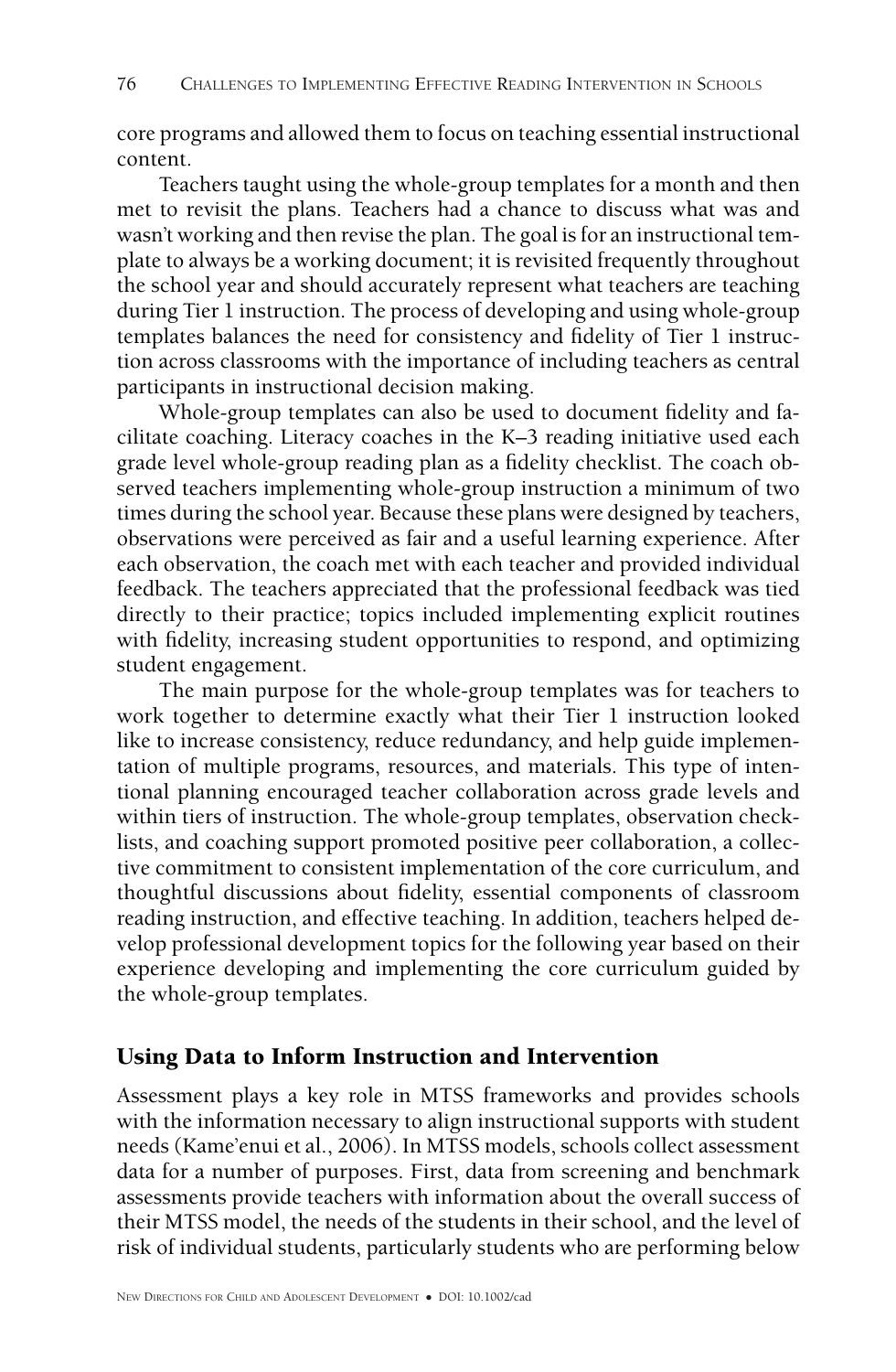core programs and allowed them to focus on teaching essential instructional content.

Teachers taught using the whole-group templates for a month and then met to revisit the plans. Teachers had a chance to discuss what was and wasn't working and then revise the plan. The goal is for an instructional template to always be a working document; it is revisited frequently throughout the school year and should accurately represent what teachers are teaching during Tier 1 instruction. The process of developing and using whole-group templates balances the need for consistency and fdelity of Tier 1 instruction across classrooms with the importance of including teachers as central participants in instructional decision making.

Whole-group templates can also be used to document fdelity and facilitate coaching. Literacy coaches in the K–3 reading initiative used each grade level whole-group reading plan as a fdelity checklist. The coach observed teachers implementing whole-group instruction a minimum of two times during the school year. Because these plans were designed by teachers, observations were perceived as fair and a useful learning experience. After each observation, the coach met with each teacher and provided individual feedback. The teachers appreciated that the professional feedback was tied directly to their practice; topics included implementing explicit routines with fdelity, increasing student opportunities to respond, and optimizing student engagement.

The main purpose for the whole-group templates was for teachers to work together to determine exactly what their Tier 1 instruction looked like to increase consistency, reduce redundancy, and help guide implementation of multiple programs, resources, and materials. This type of intentional planning encouraged teacher collaboration across grade levels and within tiers of instruction. The whole-group templates, observation checklists, and coaching support promoted positive peer collaboration, a collective commitment to consistent implementation of the core curriculum, and thoughtful discussions about fdelity, essential components of classroom reading instruction, and effective teaching. In addition, teachers helped develop professional development topics for the following year based on their experience developing and implementing the core curriculum guided by the whole-group templates.

## Using Data to Inform Instruction and Intervention

Assessment plays a key role in MTSS frameworks and provides schools with the information necessary to align instructional supports with student needs (Kame'enui et al., 2006). In MTSS models, schools collect assessment data for a number of purposes. First, data from screening and benchmark assessments provide teachers with information about the overall success of their MTSS model, the needs of the students in their school, and the level of risk of individual students, particularly students who are performing below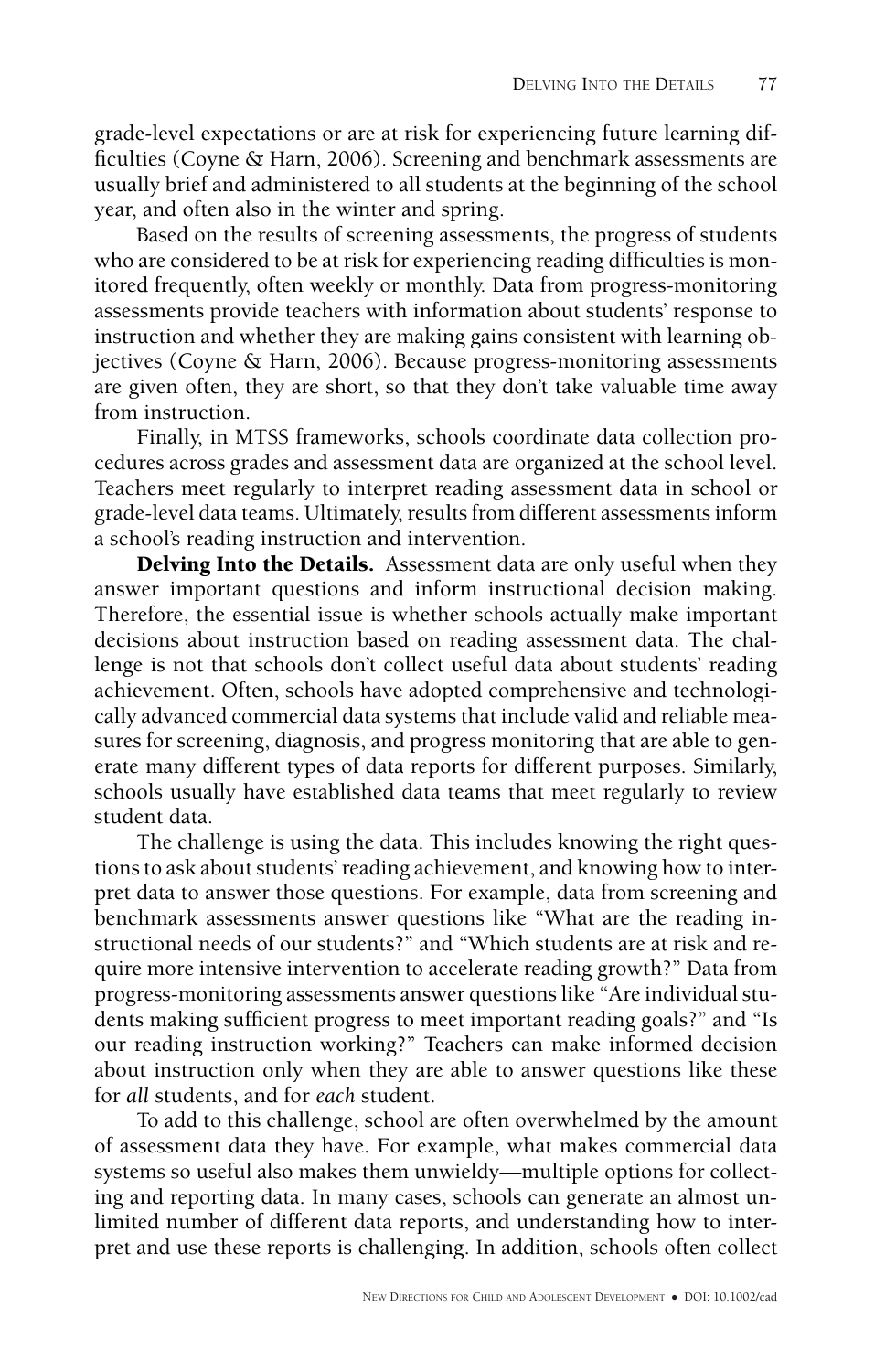grade-level expectations or are at risk for experiencing future learning diffculties (Coyne & Harn, 2006). Screening and benchmark assessments are usually brief and administered to all students at the beginning of the school year, and often also in the winter and spring.

Based on the results of screening assessments, the progress of students who are considered to be at risk for experiencing reading difficulties is monitored frequently, often weekly or monthly. Data from progress-monitoring assessments provide teachers with information about students' response to instruction and whether they are making gains consistent with learning objectives (Coyne & Harn, 2006). Because progress-monitoring assessments are given often, they are short, so that they don't take valuable time away from instruction.

Finally, in MTSS frameworks, schools coordinate data collection procedures across grades and assessment data are organized at the school level. Teachers meet regularly to interpret reading assessment data in school or grade-level data teams. Ultimately, results from different assessments inform a school's reading instruction and intervention.

Delving Into the Details. Assessment data are only useful when they answer important questions and inform instructional decision making. Therefore, the essential issue is whether schools actually make important decisions about instruction based on reading assessment data. The challenge is not that schools don't collect useful data about students' reading achievement. Often, schools have adopted comprehensive and technologically advanced commercial data systems that include valid and reliable measures for screening, diagnosis, and progress monitoring that are able to generate many different types of data reports for different purposes. Similarly, schools usually have established data teams that meet regularly to review student data.

The challenge is using the data. This includes knowing the right questions to ask about students' reading achievement, and knowing how to interpret data to answer those questions. For example, data from screening and benchmark assessments answer questions like "What are the reading instructional needs of our students?" and "Which students are at risk and require more intensive intervention to accelerate reading growth?" Data from progress-monitoring assessments answer questions like "Are individual students making sufficient progress to meet important reading goals?" and "Is our reading instruction working?" Teachers can make informed decision about instruction only when they are able to answer questions like these for *all* students, and for *each* student.

To add to this challenge, school are often overwhelmed by the amount of assessment data they have. For example, what makes commercial data systems so useful also makes them unwieldy—multiple options for collecting and reporting data. In many cases, schools can generate an almost unlimited number of different data reports, and understanding how to interpret and use these reports is challenging. In addition, schools often collect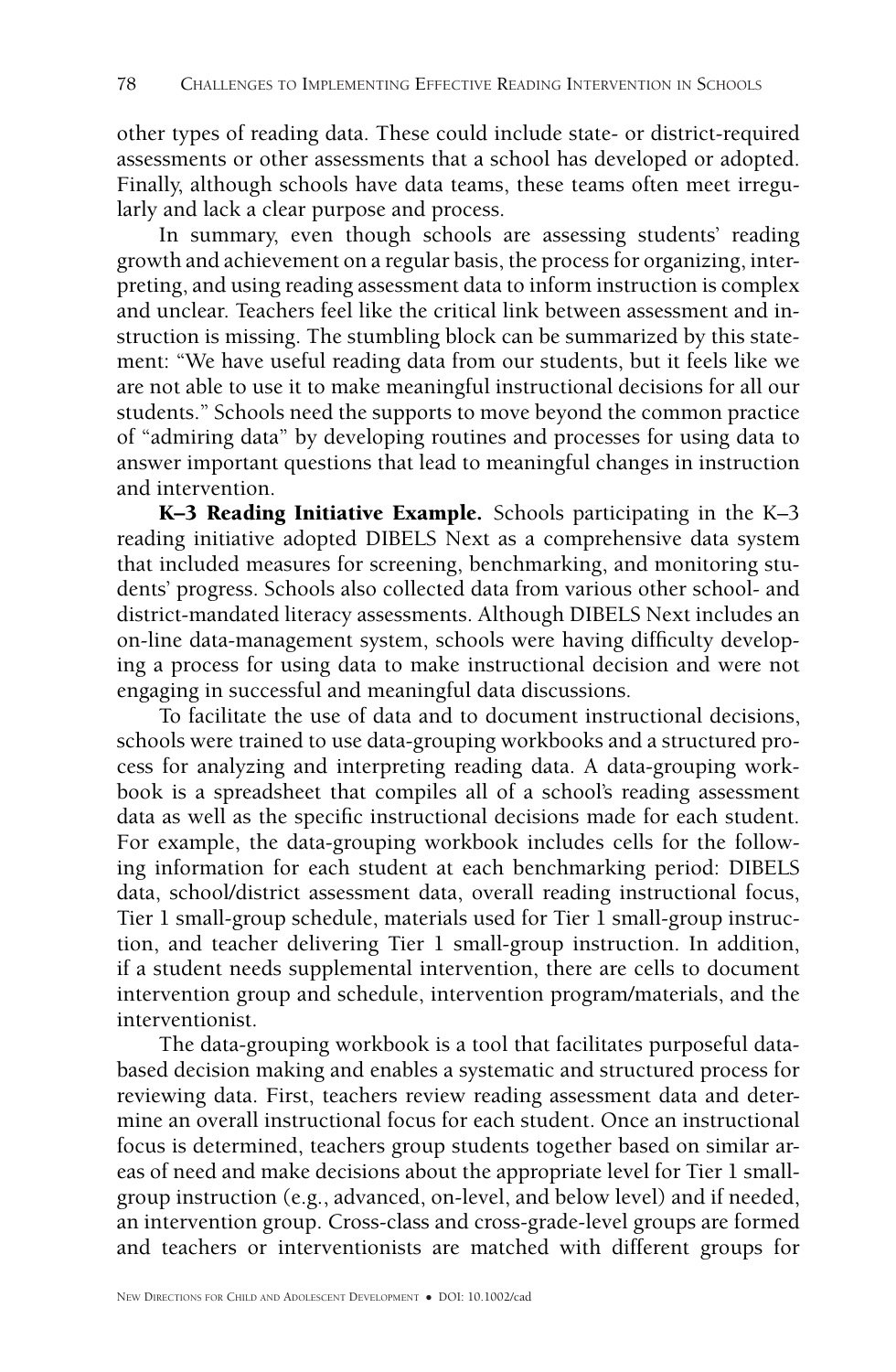other types of reading data. These could include state- or district-required assessments or other assessments that a school has developed or adopted. Finally, although schools have data teams, these teams often meet irregularly and lack a clear purpose and process.

In summary, even though schools are assessing students' reading growth and achievement on a regular basis, the process for organizing, interpreting, and using reading assessment data to inform instruction is complex and unclear. Teachers feel like the critical link between assessment and instruction is missing. The stumbling block can be summarized by this statement: "We have useful reading data from our students, but it feels like we are not able to use it to make meaningful instructional decisions for all our students." Schools need the supports to move beyond the common practice of "admiring data" by developing routines and processes for using data to answer important questions that lead to meaningful changes in instruction and intervention.

K-3 Reading Initiative Example. Schools participating in the K-3 reading initiative adopted DIBELS Next as a comprehensive data system that included measures for screening, benchmarking, and monitoring students' progress. Schools also collected data from various other school- and district-mandated literacy assessments. Although DIBELS Next includes an on-line data-management system, schools were having diffculty developing a process for using data to make instructional decision and were not engaging in successful and meaningful data discussions.

To facilitate the use of data and to document instructional decisions, schools were trained to use data-grouping workbooks and a structured process for analyzing and interpreting reading data. A data-grouping workbook is a spreadsheet that compiles all of a school's reading assessment data as well as the specifc instructional decisions made for each student. For example, the data-grouping workbook includes cells for the following information for each student at each benchmarking period: DIBELS data, school/district assessment data, overall reading instructional focus, Tier 1 small-group schedule, materials used for Tier 1 small-group instruction, and teacher delivering Tier 1 small-group instruction. In addition, if a student needs supplemental intervention, there are cells to document intervention group and schedule, intervention program/materials, and the interventionist.

The data-grouping workbook is a tool that facilitates purposeful databased decision making and enables a systematic and structured process for reviewing data. First, teachers review reading assessment data and determine an overall instructional focus for each student. Once an instructional focus is determined, teachers group students together based on similar areas of need and make decisions about the appropriate level for Tier 1 smallgroup instruction (e.g., advanced, on-level, and below level) and if needed, an intervention group. Cross-class and cross-grade-level groups are formed and teachers or interventionists are matched with different groups for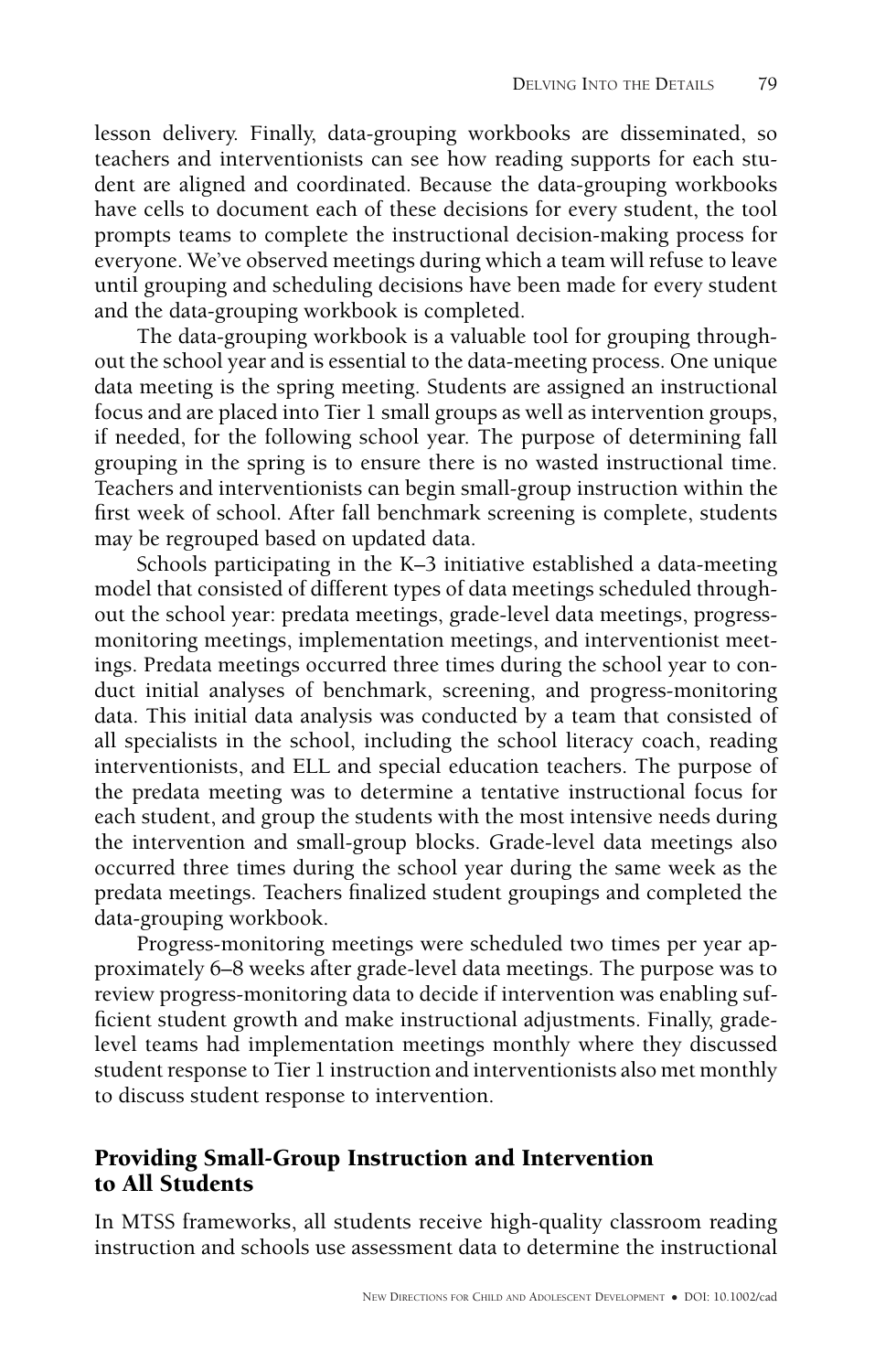lesson delivery. Finally, data-grouping workbooks are disseminated, so teachers and interventionists can see how reading supports for each student are aligned and coordinated. Because the data-grouping workbooks have cells to document each of these decisions for every student, the tool prompts teams to complete the instructional decision-making process for everyone. We've observed meetings during which a team will refuse to leave until grouping and scheduling decisions have been made for every student and the data-grouping workbook is completed.

The data-grouping workbook is a valuable tool for grouping throughout the school year and is essential to the data-meeting process. One unique data meeting is the spring meeting. Students are assigned an instructional focus and are placed into Tier 1 small groups as well as intervention groups, if needed, for the following school year. The purpose of determining fall grouping in the spring is to ensure there is no wasted instructional time. Teachers and interventionists can begin small-group instruction within the frst week of school. After fall benchmark screening is complete, students may be regrouped based on updated data.

Schools participating in the K–3 initiative established a data-meeting model that consisted of different types of data meetings scheduled throughout the school year: predata meetings, grade-level data meetings, progressmonitoring meetings, implementation meetings, and interventionist meetings. Predata meetings occurred three times during the school year to conduct initial analyses of benchmark, screening, and progress-monitoring data. This initial data analysis was conducted by a team that consisted of all specialists in the school, including the school literacy coach, reading interventionists, and ELL and special education teachers. The purpose of the predata meeting was to determine a tentative instructional focus for each student, and group the students with the most intensive needs during the intervention and small-group blocks. Grade-level data meetings also occurred three times during the school year during the same week as the predata meetings. Teachers fnalized student groupings and completed the data-grouping workbook.

Progress-monitoring meetings were scheduled two times per year approximately 6–8 weeks after grade-level data meetings. The purpose was to review progress-monitoring data to decide if intervention was enabling suffcient student growth and make instructional adjustments. Finally, gradelevel teams had implementation meetings monthly where they discussed student response to Tier 1 instruction and interventionists also met monthly to discuss student response to intervention.

## Providing Small-Group Instruction and Intervention to All Students

In MTSS frameworks, all students receive high-quality classroom reading instruction and schools use assessment data to determine the instructional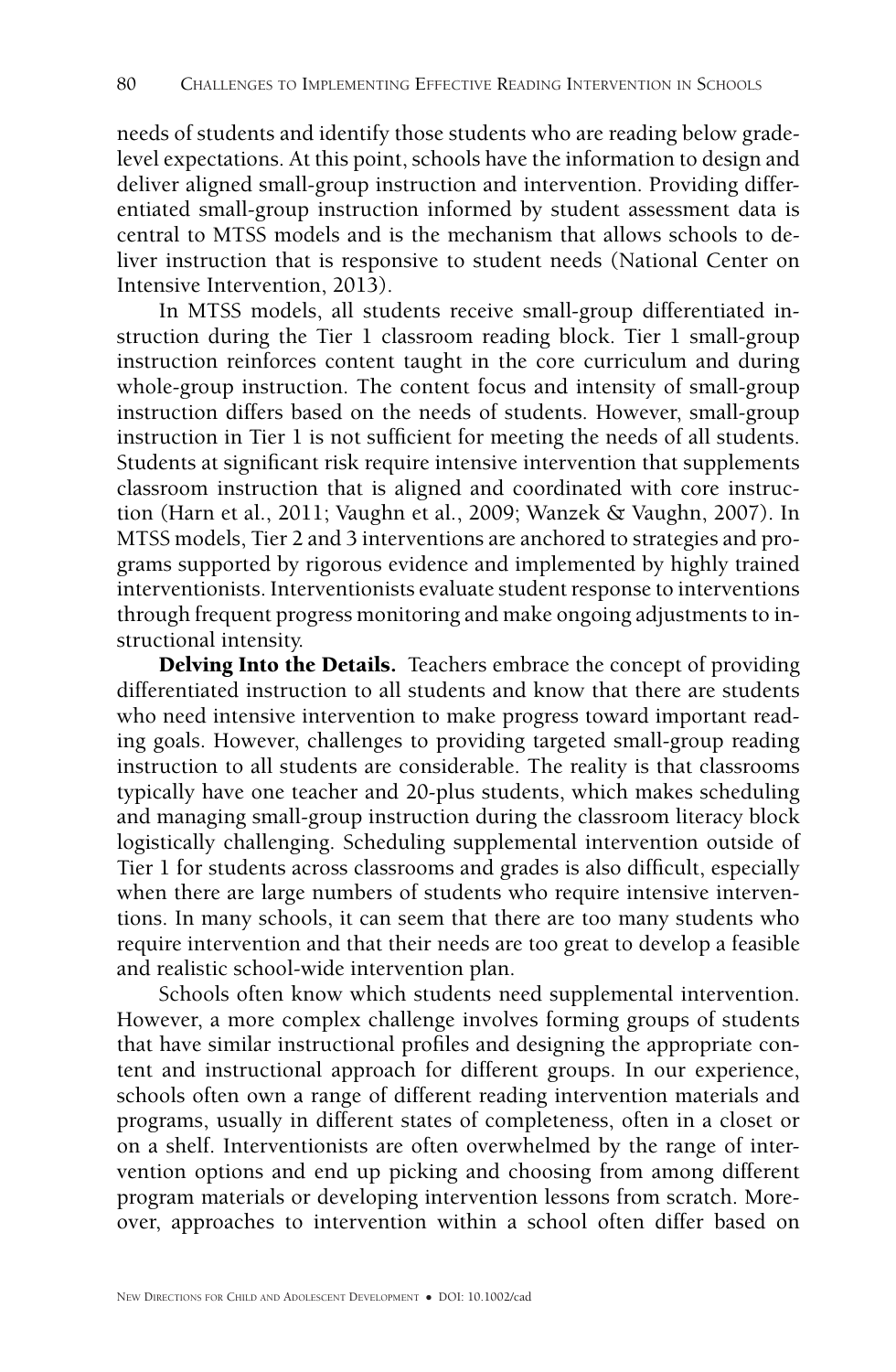needs of students and identify those students who are reading below gradelevel expectations. At this point, schools have the information to design and deliver aligned small-group instruction and intervention. Providing differentiated small-group instruction informed by student assessment data is central to MTSS models and is the mechanism that allows schools to deliver instruction that is responsive to student needs (National Center on Intensive Intervention, 2013).

In MTSS models, all students receive small-group differentiated instruction during the Tier 1 classroom reading block. Tier 1 small-group instruction reinforces content taught in the core curriculum and during whole-group instruction. The content focus and intensity of small-group instruction differs based on the needs of students. However, small-group instruction in Tier 1 is not sufficient for meeting the needs of all students. Students at signifcant risk require intensive intervention that supplements classroom instruction that is aligned and coordinated with core instruction (Harn et al., 2011; Vaughn et al., 2009; Wanzek & Vaughn, 2007). In MTSS models, Tier 2 and 3 interventions are anchored to strategies and programs supported by rigorous evidence and implemented by highly trained interventionists. Interventionists evaluate student response to interventions through frequent progress monitoring and make ongoing adjustments to instructional intensity.

Delving Into the Details. Teachers embrace the concept of providing differentiated instruction to all students and know that there are students who need intensive intervention to make progress toward important reading goals. However, challenges to providing targeted small-group reading instruction to all students are considerable. The reality is that classrooms typically have one teacher and 20-plus students, which makes scheduling and managing small-group instruction during the classroom literacy block logistically challenging. Scheduling supplemental intervention outside of Tier 1 for students across classrooms and grades is also diffcult, especially when there are large numbers of students who require intensive interventions. In many schools, it can seem that there are too many students who require intervention and that their needs are too great to develop a feasible and realistic school-wide intervention plan.

Schools often know which students need supplemental intervention. However, a more complex challenge involves forming groups of students that have similar instructional profles and designing the appropriate content and instructional approach for different groups. In our experience, schools often own a range of different reading intervention materials and programs, usually in different states of completeness, often in a closet or on a shelf. Interventionists are often overwhelmed by the range of intervention options and end up picking and choosing from among different program materials or developing intervention lessons from scratch. Moreover, approaches to intervention within a school often differ based on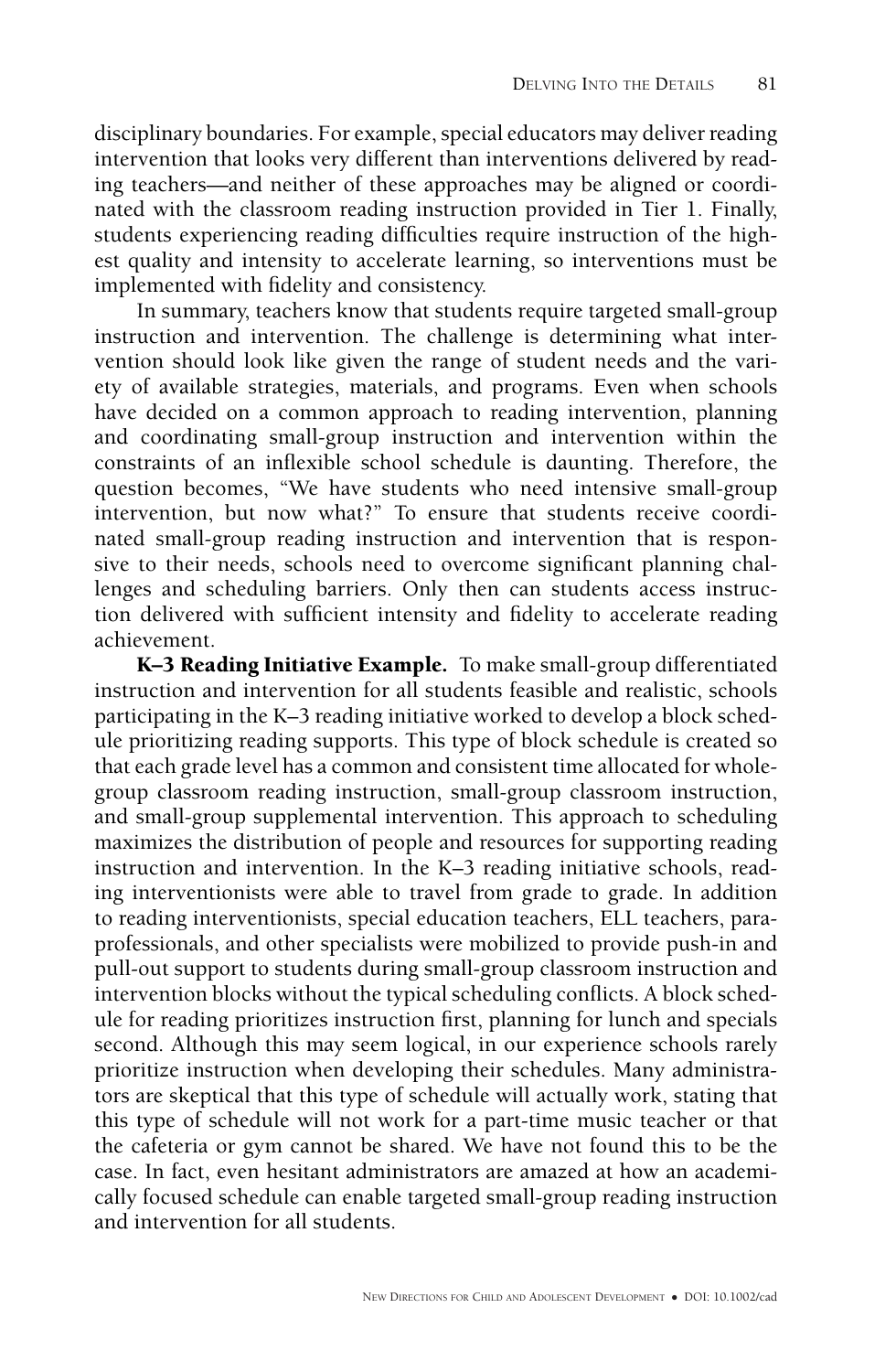disciplinary boundaries. For example, special educators may deliver reading intervention that looks very different than interventions delivered by reading teachers—and neither of these approaches may be aligned or coordinated with the classroom reading instruction provided in Tier 1. Finally, students experiencing reading difficulties require instruction of the highest quality and intensity to accelerate learning, so interventions must be implemented with fdelity and consistency.

In summary, teachers know that students require targeted small-group instruction and intervention. The challenge is determining what intervention should look like given the range of student needs and the variety of available strategies, materials, and programs. Even when schools have decided on a common approach to reading intervention, planning and coordinating small-group instruction and intervention within the constraints of an infexible school schedule is daunting. Therefore, the question becomes, "We have students who need intensive small-group intervention, but now what?" To ensure that students receive coordinated small-group reading instruction and intervention that is responsive to their needs, schools need to overcome signifcant planning challenges and scheduling barriers. Only then can students access instruction delivered with sufficient intensity and fidelity to accelerate reading achievement.

K–3 Reading Initiative Example. To make small-group differentiated instruction and intervention for all students feasible and realistic, schools participating in the K–3 reading initiative worked to develop a block schedule prioritizing reading supports. This type of block schedule is created so that each grade level has a common and consistent time allocated for wholegroup classroom reading instruction, small-group classroom instruction, and small-group supplemental intervention. This approach to scheduling maximizes the distribution of people and resources for supporting reading instruction and intervention. In the K–3 reading initiative schools, reading interventionists were able to travel from grade to grade. In addition to reading interventionists, special education teachers, ELL teachers, paraprofessionals, and other specialists were mobilized to provide push-in and pull-out support to students during small-group classroom instruction and intervention blocks without the typical scheduling conficts. A block schedule for reading prioritizes instruction frst, planning for lunch and specials second. Although this may seem logical, in our experience schools rarely prioritize instruction when developing their schedules. Many administrators are skeptical that this type of schedule will actually work, stating that this type of schedule will not work for a part-time music teacher or that the cafeteria or gym cannot be shared. We have not found this to be the case. In fact, even hesitant administrators are amazed at how an academically focused schedule can enable targeted small-group reading instruction and intervention for all students.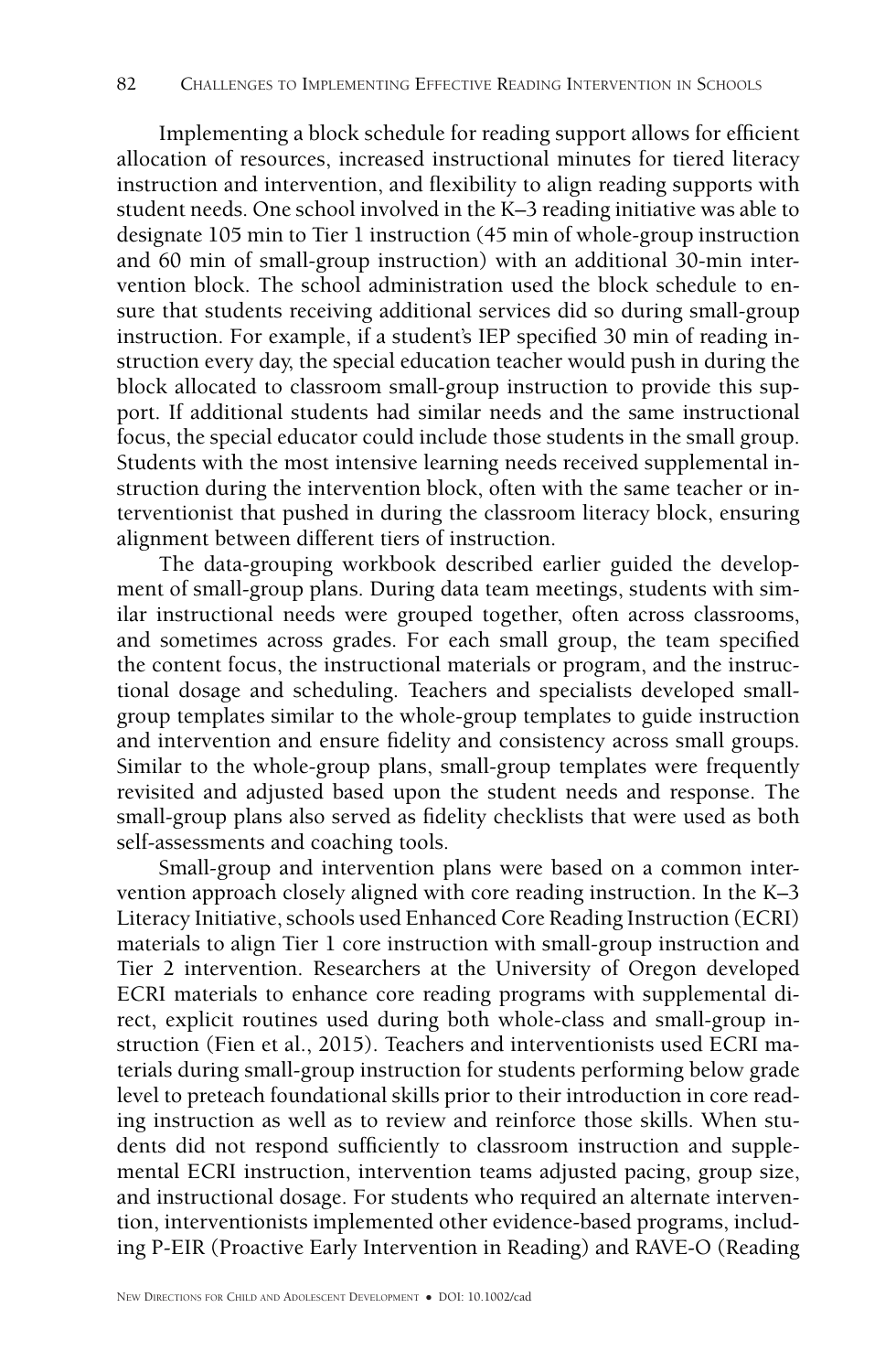Implementing a block schedule for reading support allows for effcient allocation of resources, increased instructional minutes for tiered literacy instruction and intervention, and fexibility to align reading supports with student needs. One school involved in the K–3 reading initiative was able to designate 105 min to Tier 1 instruction (45 min of whole-group instruction and 60 min of small-group instruction) with an additional 30-min intervention block. The school administration used the block schedule to ensure that students receiving additional services did so during small-group instruction. For example, if a student's IEP specifed 30 min of reading instruction every day, the special education teacher would push in during the block allocated to classroom small-group instruction to provide this support. If additional students had similar needs and the same instructional focus, the special educator could include those students in the small group. Students with the most intensive learning needs received supplemental instruction during the intervention block, often with the same teacher or interventionist that pushed in during the classroom literacy block, ensuring alignment between different tiers of instruction.

The data-grouping workbook described earlier guided the development of small-group plans. During data team meetings, students with similar instructional needs were grouped together, often across classrooms, and sometimes across grades. For each small group, the team specifed the content focus, the instructional materials or program, and the instructional dosage and scheduling. Teachers and specialists developed smallgroup templates similar to the whole-group templates to guide instruction and intervention and ensure fdelity and consistency across small groups. Similar to the whole-group plans, small-group templates were frequently revisited and adjusted based upon the student needs and response. The small-group plans also served as fdelity checklists that were used as both self-assessments and coaching tools.

Small-group and intervention plans were based on a common intervention approach closely aligned with core reading instruction. In the K–3 Literacy Initiative, schools used Enhanced Core Reading Instruction (ECRI) materials to align Tier 1 core instruction with small-group instruction and Tier 2 intervention. Researchers at the University of Oregon developed ECRI materials to enhance core reading programs with supplemental direct, explicit routines used during both whole-class and small-group instruction (Fien et al., 2015). Teachers and interventionists used ECRI materials during small-group instruction for students performing below grade level to preteach foundational skills prior to their introduction in core reading instruction as well as to review and reinforce those skills. When students did not respond suffciently to classroom instruction and supplemental ECRI instruction, intervention teams adjusted pacing, group size, and instructional dosage. For students who required an alternate intervention, interventionists implemented other evidence-based programs, including P-EIR (Proactive Early Intervention in Reading) and RAVE-O (Reading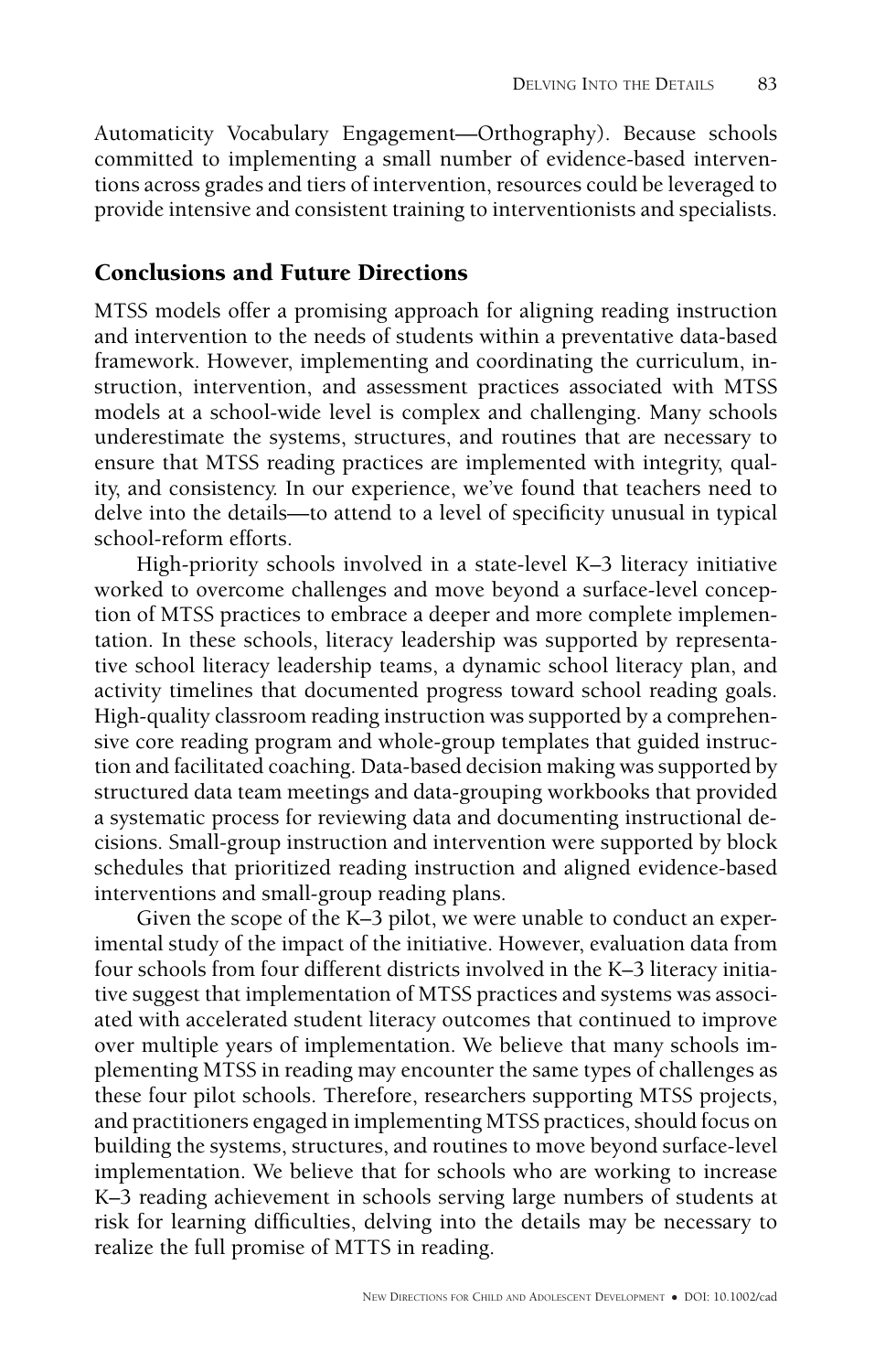Automaticity Vocabulary Engagement—Orthography). Because schools committed to implementing a small number of evidence-based interventions across grades and tiers of intervention, resources could be leveraged to provide intensive and consistent training to interventionists and specialists.

## Conclusions and Future Directions

MTSS models offer a promising approach for aligning reading instruction and intervention to the needs of students within a preventative data-based framework. However, implementing and coordinating the curriculum, instruction, intervention, and assessment practices associated with MTSS models at a school-wide level is complex and challenging. Many schools underestimate the systems, structures, and routines that are necessary to ensure that MTSS reading practices are implemented with integrity, quality, and consistency. In our experience, we've found that teachers need to delve into the details—to attend to a level of specifcity unusual in typical school-reform efforts.

High-priority schools involved in a state-level K–3 literacy initiative worked to overcome challenges and move beyond a surface-level conception of MTSS practices to embrace a deeper and more complete implementation. In these schools, literacy leadership was supported by representative school literacy leadership teams, a dynamic school literacy plan, and activity timelines that documented progress toward school reading goals. High-quality classroom reading instruction was supported by a comprehensive core reading program and whole-group templates that guided instruction and facilitated coaching. Data-based decision making was supported by structured data team meetings and data-grouping workbooks that provided a systematic process for reviewing data and documenting instructional decisions. Small-group instruction and intervention were supported by block schedules that prioritized reading instruction and aligned evidence-based interventions and small-group reading plans.

Given the scope of the K–3 pilot, we were unable to conduct an experimental study of the impact of the initiative. However, evaluation data from four schools from four different districts involved in the K–3 literacy initiative suggest that implementation of MTSS practices and systems was associated with accelerated student literacy outcomes that continued to improve over multiple years of implementation. We believe that many schools implementing MTSS in reading may encounter the same types of challenges as these four pilot schools. Therefore, researchers supporting MTSS projects, and practitioners engaged in implementing MTSS practices, should focus on building the systems, structures, and routines to move beyond surface-level implementation. We believe that for schools who are working to increase K–3 reading achievement in schools serving large numbers of students at risk for learning diffculties, delving into the details may be necessary to realize the full promise of MTTS in reading.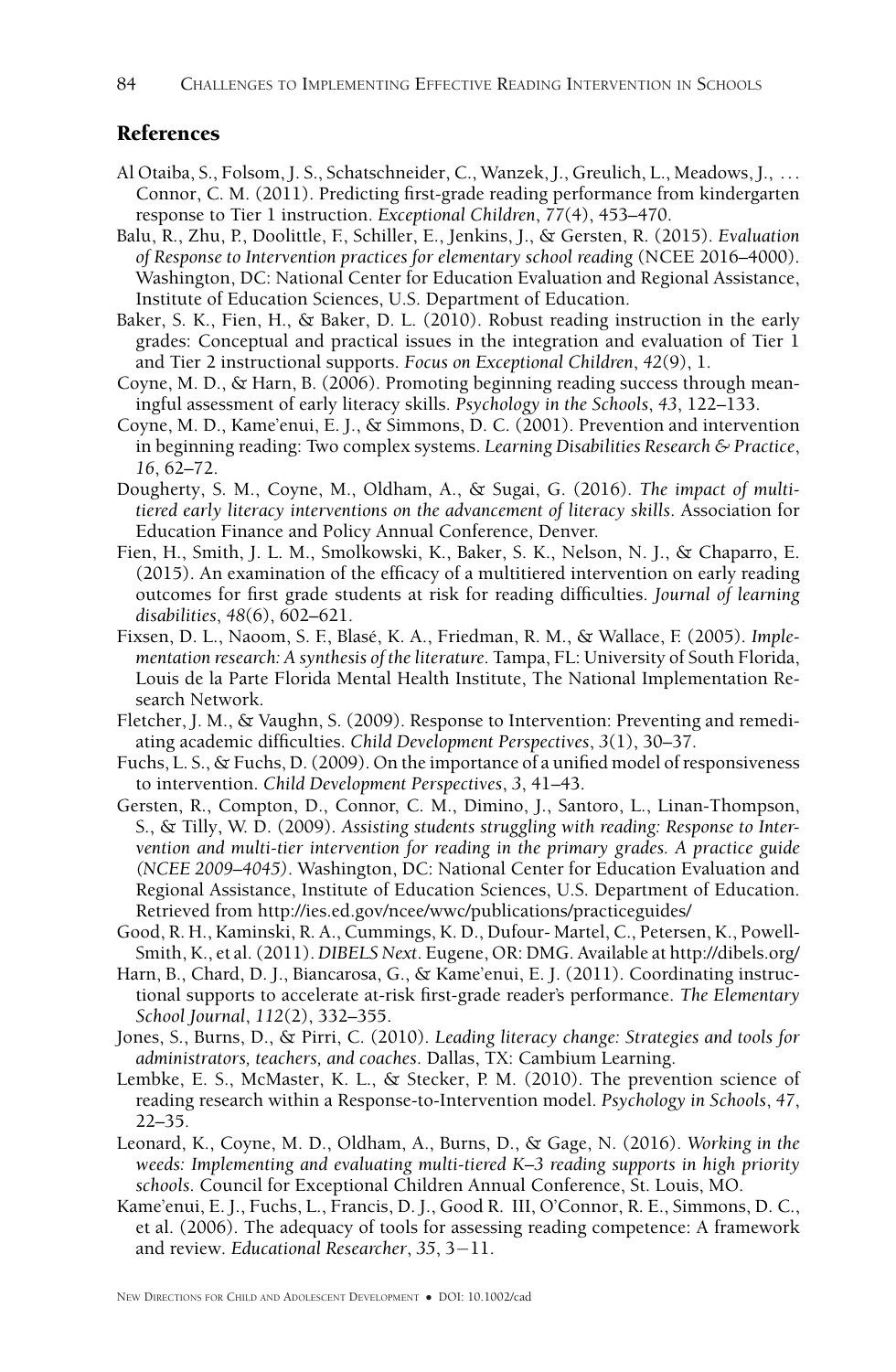#### References

- Al Otaiba, S., Folsom, J. S., Schatschneider, C., Wanzek, J., Greulich, L., Meadows, J., . . . Connor, C. M. (2011). Predicting frst-grade reading performance from kindergarten response to Tier 1 instruction. *Exceptional Children*, *77*(4), 453–470.
- Balu, R., Zhu, P., Doolittle, F., Schiller, E., Jenkins, J., & Gersten, R. (2015). *Evaluation of Response to Intervention practices for elementary school reading* (NCEE 2016–4000). Washington, DC: National Center for Education Evaluation and Regional Assistance, Institute of Education Sciences, U.S. Department of Education.
- Baker, S. K., Fien, H., & Baker, D. L. (2010). Robust reading instruction in the early grades: Conceptual and practical issues in the integration and evaluation of Tier 1 and Tier 2 instructional supports. *Focus on Exceptional Children*, *42*(9), 1.
- Coyne, M. D., & Harn, B. (2006). Promoting beginning reading success through meaningful assessment of early literacy skills. *Psychology in the Schools*, *43*, 122–133.
- Coyne, M. D., Kame'enui, E. J., & Simmons, D. C. (2001). Prevention and intervention in beginning reading: Two complex systems. *Learning Disabilities Research & Practice*, *16*, 62–72.
- Dougherty, S. M., Coyne, M., Oldham, A., & Sugai, G. (2016). *The impact of multitiered early literacy interventions on the advancement of literacy skills*. Association for Education Finance and Policy Annual Conference, Denver.
- Fien, H., Smith, J. L. M., Smolkowski, K., Baker, S. K., Nelson, N. J., & Chaparro, E. (2015). An examination of the effcacy of a multitiered intervention on early reading outcomes for frst grade students at risk for reading diffculties. *Journal of learning disabilities*, *48*(6), 602–621.
- Fixsen, D. L., Naoom, S. F., Blasé, K. A., Friedman, R. M., & Wallace, F. (2005). *Implementation research: A synthesis of the literature*. Tampa, FL: University of South Florida, Louis de la Parte Florida Mental Health Institute, The National Implementation Research Network.
- Fletcher, J. M., & Vaughn, S. (2009). Response to Intervention: Preventing and remediating academic diffculties. *Child Development Perspectives*, *3*(1), 30–37.
- Fuchs, L. S., & Fuchs, D. (2009). On the importance of a unifed model of responsiveness to intervention. *Child Development Perspectives*, *3*, 41–43.
- Gersten, R., Compton, D., Connor, C. M., Dimino, J., Santoro, L., Linan-Thompson, S., & Tilly, W. D. (2009). *Assisting students struggling with reading: Response to Intervention and multi-tier intervention for reading in the primary grades. A practice guide (NCEE 2009–4045)*. Washington, DC: National Center for Education Evaluation and Regional Assistance, Institute of Education Sciences, U.S. Department of Education. Retrieved from<http://ies.ed.gov/ncee/wwc/publications/practiceguides/>
- Good, R. H., Kaminski, R. A., Cummings, K. D., Dufour- Martel, C., Petersen, K., Powell-Smith, K., et al. (2011). *DIBELS Next*. Eugene, OR: DMG. Available at<http://dibels.org/>
- Harn, B., Chard, D. J., Biancarosa, G., & Kame'enui, E. J. (2011). Coordinating instructional supports to accelerate at-risk frst-grade reader's performance. *The Elementary School Journal*, *112*(2), 332–355.
- Jones, S., Burns, D., & Pirri, C. (2010). *Leading literacy change: Strategies and tools for administrators, teachers, and coaches*. Dallas, TX: Cambium Learning.
- Lembke, E. S., McMaster, K. L., & Stecker, P. M. (2010). The prevention science of reading research within a Response-to-Intervention model. *Psychology in Schools*, *47*, 22–35.
- Leonard, K., Coyne, M. D., Oldham, A., Burns, D., & Gage, N. (2016). *Working in the weeds: Implementing and evaluating multi-tiered K–3 reading supports in high priority schools*. Council for Exceptional Children Annual Conference, St. Louis, MO.
- Kame'enui, E. J., Fuchs, L., Francis, D. J., Good R. III, O'Connor, R. E., Simmons, D. C., et al. (2006). The adequacy of tools for assessing reading competence: A framework and review. *Educational Researcher*, *35*, 3−11.